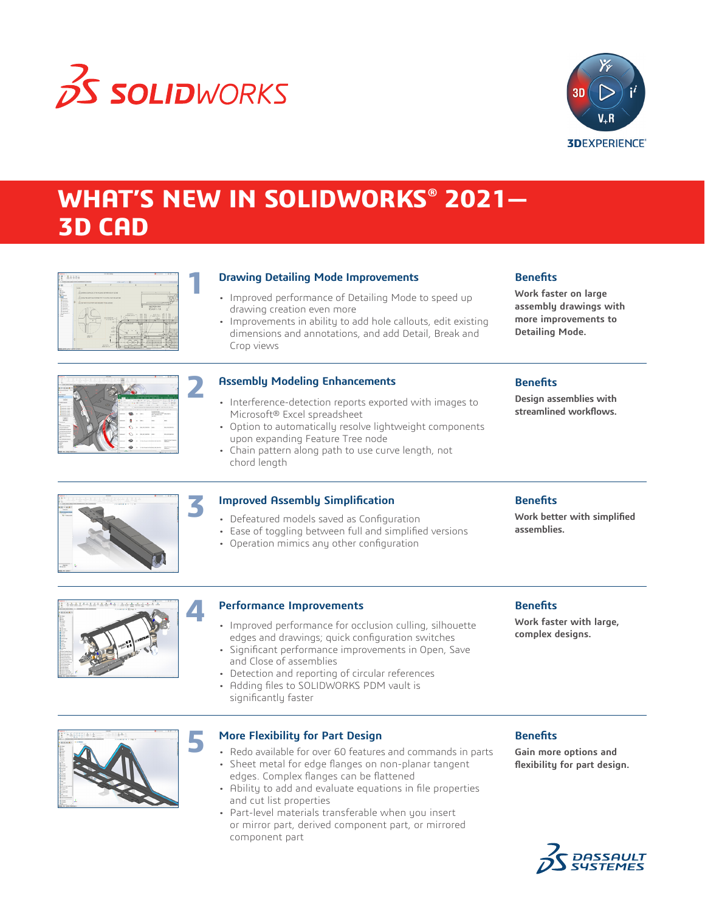

**1**

**3**



### **WHAT'S NEW IN SOLIDWORKS® 2021— 3D CAD**

| Low Transport and Charles                                                                                                                    | メヌジィウルに関し                                                                                                  |                        |                                                                                           | (3, 4)        |
|----------------------------------------------------------------------------------------------------------------------------------------------|------------------------------------------------------------------------------------------------------------|------------------------|-------------------------------------------------------------------------------------------|---------------|
|                                                                                                                                              |                                                                                                            | ×                      | ٠                                                                                         |               |
| scient.<br>A some amon or resource women moves<br>$\circ$<br>Диемотралиные коже тем номи-<br><b>Bally</b><br>c<br>Elimit blue Shell Shell to | GRADO TEM DIRECTA REMAINING WITH GRAPES<br>in a planetimes<br>U. B. Josit cel<br>an -<br>ú<br>xíz<br>10111 | $-2212$<br>$\sim$<br>- | $\rightarrow$<br><b>SECTION R-R</b><br>SCALE 111.5<br>$-0.0141$<br>н<br>rlia-<br>- -<br>× | H.<br>n<br>-7 |

#### **Drawing Detailing Mode Improvements**

- Improved performance of Detailing Mode to speed up drawing creation even more
- Improvements in ability to add hole callouts, edit existing dimensions and annotations, and add Detail, Break and Crop views

#### **Benefits**

**Work faster on large assembly drawings with more improvements to Detailing Mode.**

| <b>CONTRACTOR</b><br>$\sim$<br>$-1$<br>--                                                                                                                                                                                    | <b>HOLLAND</b>                                | ٠                 | $\cdots$               |                                          |                                                                                           | Received Artists for                                     |  |
|------------------------------------------------------------------------------------------------------------------------------------------------------------------------------------------------------------------------------|-----------------------------------------------|-------------------|------------------------|------------------------------------------|-------------------------------------------------------------------------------------------|----------------------------------------------------------|--|
| the contract of the contract of the contract of the contract of the contract of the contract of the contract of<br>÷<br>tended states to this to the total and states with the first party with the top<br><b>CONTRACTOR</b> | the company's company's part of the company's | $\sim$            | -<br><b>CONTRACTOR</b> |                                          |                                                                                           |                                                          |  |
| Texas Texas Telepations Trail Telepating 1                                                                                                                                                                                   |                                               |                   |                        |                                          |                                                                                           | $0.3 - 0.$                                               |  |
|                                                                                                                                                                                                                              |                                               |                   |                        |                                          |                                                                                           | u                                                        |  |
| procedures 2.0                                                                                                                                                                                                               |                                               |                   |                        |                                          |                                                                                           |                                                          |  |
|                                                                                                                                                                                                                              |                                               |                   |                        |                                          |                                                                                           |                                                          |  |
|                                                                                                                                                                                                                              |                                               |                   |                        |                                          |                                                                                           |                                                          |  |
| <b>WACHING</b><br><b>SACRAGE</b>                                                                                                                                                                                             |                                               |                   |                        | <b>SUBJECTIVE CONTRACTOR</b>             |                                                                                           |                                                          |  |
|                                                                                                                                                                                                                              |                                               |                   |                        |                                          |                                                                                           |                                                          |  |
|                                                                                                                                                                                                                              |                                               |                   | $-1000$                | 18.4.3                                   | Dead - Christian Scotter<br><b>KIND CONSUMER</b>                                          | 三十四                                                      |  |
| weeklasses.                                                                                                                                                                                                                  |                                               |                   |                        | There is a granted that them             |                                                                                           | <b>Drawing</b><br><b>SHERE</b><br><b>Every Francisco</b> |  |
|                                                                                                                                                                                                                              | o                                             | $L = 1$           | $\sim$                 | a state of the control and               |                                                                                           | $\sim$<br>⋍                                              |  |
| delegated papers of<br><b>Milled Allen 1</b>                                                                                                                                                                                 |                                               |                   |                        |                                          | at the fill in the All and the first and better the transport for any better on the first |                                                          |  |
| <b>Ministrate</b>                                                                                                                                                                                                            |                                               |                   |                        |                                          |                                                                                           |                                                          |  |
| <b>Advertising</b>                                                                                                                                                                                                           |                                               |                   |                        |                                          | <b>A distance</b>                                                                         |                                                          |  |
| <b>General Editor</b><br><b>MAINE ERICS C</b>                                                                                                                                                                                |                                               | <b>INSIDE</b>     |                        |                                          | DESCRIPTION OF PROPERTY<br>FOR JOSEPHER R.A.                                              |                                                          |  |
| --                                                                                                                                                                                                                           |                                               |                   |                        |                                          | <b>MA SELL</b>                                                                            |                                                          |  |
| <b>Transfer</b>                                                                                                                                                                                                              |                                               |                   |                        |                                          |                                                                                           |                                                          |  |
| <b>Service</b>                                                                                                                                                                                                               |                                               |                   |                        |                                          | <b>Holland</b>                                                                            | man.                                                     |  |
| <b>STATISTICS</b>                                                                                                                                                                                                            |                                               |                   |                        |                                          |                                                                                           |                                                          |  |
| <b>MARKETHER</b>                                                                                                                                                                                                             |                                               |                   |                        |                                          |                                                                                           |                                                          |  |
| <b><i><u>RAMERONA</u></i></b>                                                                                                                                                                                                |                                               | <b>STATISTICS</b> |                        | <b>WHO RE SECTION - WHEN</b>             |                                                                                           | <b>BALLAS MARINE</b>                                     |  |
| Tel: absorber in concern                                                                                                                                                                                                     |                                               |                   |                        |                                          |                                                                                           |                                                          |  |
| <b><i>STAR &amp; RAILWAY AND HOME</i></b><br><b>Includes a statement</b>                                                                                                                                                     |                                               |                   |                        |                                          |                                                                                           |                                                          |  |
| <b>MARINE</b>                                                                                                                                                                                                                |                                               | --                |                        | <b>Marine Morris Corp.</b>               |                                                                                           | <b>BANK MARY</b>                                         |  |
| That survive work from                                                                                                                                                                                                       |                                               |                   |                        |                                          |                                                                                           |                                                          |  |
|                                                                                                                                                                                                                              |                                               |                   |                        |                                          |                                                                                           |                                                          |  |
|                                                                                                                                                                                                                              |                                               |                   |                        | In the form in better this beat that     |                                                                                           | <b>March Strikown</b><br><b>MAGINE</b>                   |  |
|                                                                                                                                                                                                                              |                                               |                   |                        |                                          |                                                                                           |                                                          |  |
|                                                                                                                                                                                                                              |                                               |                   |                        |                                          |                                                                                           |                                                          |  |
|                                                                                                                                                                                                                              |                                               |                   |                        |                                          |                                                                                           |                                                          |  |
| <b>CONTRACTOR</b><br><b>Contractor Institute Contractor</b><br><b>STATISTICS</b><br><b>Service</b><br><b>Service</b><br><b>Room</b>                                                                                          |                                               | <b>NTH</b>        |                        | To the four to his province in the cour- |                                                                                           | sense of the State Security Cor-<br><b>STATISTICS</b>    |  |

#### **Assembly Modeling Enhancements**

- Interference-detection reports exported with images to Microsoft® Excel spreadsheet
- Option to automatically resolve lightweight components upon expanding Feature Tree node
- Chain pattern along path to use curve length, not chord length

#### **Benefits**

**Design assemblies with streamlined workflows.**



#### **Improved Assembly Simplification**

- Defeatured models saved as Configuration
- Ease of toggling between full and simplified versions
- Operation mimics any other configuration

#### **Benefits**

**Work better with simplified assemblies.**



#### **Performance Improvements**

- Improved performance for occlusion culling, silhouette edges and drawings; quick configuration switches
- Significant performance improvements in Open, Save and Close of assemblies
- Detection and reporting of circular references
- Adding files to SOLIDWORKS PDM vault is significantly faster

#### **Benefits**

**Work faster with large, complex designs.**



#### **More Flexibility for Part Design**

- Redo available for over 60 features and commands in parts
- Sheet metal for edge flanges on non-planar tangent edges. Complex flanges can be flattened
- Ability to add and evaluate equations in file properties and cut list properties
- Part-level materials transferable when you insert or mirror part, derived component part, or mirrored component part

#### **Benefits**

**Gain more options and flexibility for part design.**